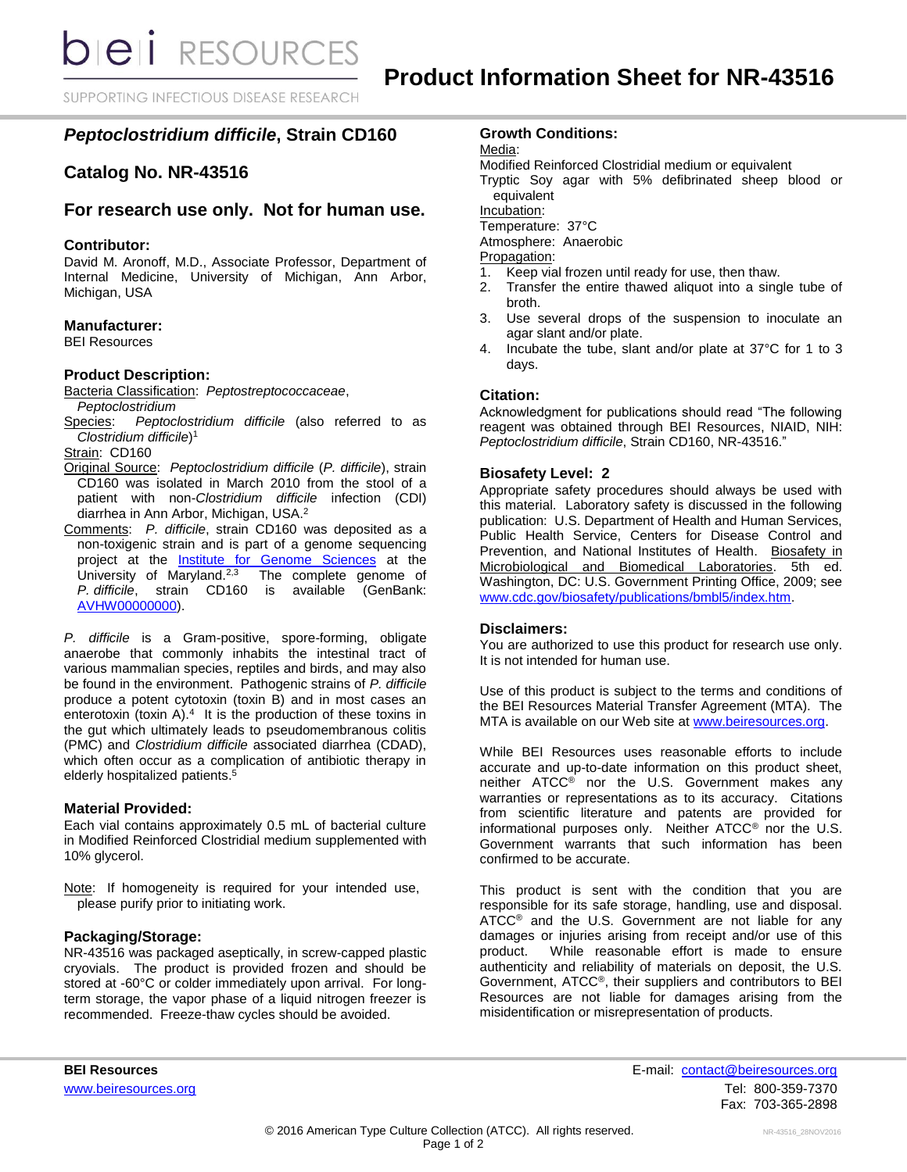**bieli** RESOURCES

SUPPORTING INFECTIOUS DISEASE RESEARCH

# *Peptoclostridium difficile***, Strain CD160**

# **Catalog No. NR-43516**

## **For research use only. Not for human use.**

#### **Contributor:**

David M. Aronoff, M.D., Associate Professor, Department of Internal Medicine, University of Michigan, Ann Arbor, Michigan, USA

### **Manufacturer:**

BEI Resources

#### **Product Description:**

Bacteria Classification: *Peptostreptococcaceae*,

- *Peptoclostridium*
- Species: *Peptoclostridium difficile* (also referred to as *Clostridium difficile*) 1

Strain: CD160

- Original Source: *Peptoclostridium difficile* (*P. difficile*), strain CD160 was isolated in March 2010 from the stool of a patient with non-*Clostridium difficile* infection (CDI) diarrhea in Ann Arbor, Michigan, USA.<sup>2</sup>
- Comments: *P. difficile*, strain CD160 was deposited as a non-toxigenic strain and is part of a genome sequencing project at the **[Institute for Genome Sciences](http://www.igs.umaryland.edu/)** at the University of Maryland.<sup>2,3</sup> The complete genome of *P. difficile*, strain CD160 is available (GenBank: [AVHW00000000\)](https://www.ncbi.nlm.nih.gov/nuccore/AVHW00000000).

*P. difficile* is a Gram-positive, spore-forming, obligate anaerobe that commonly inhabits the intestinal tract of various mammalian species, reptiles and birds, and may also be found in the environment. Pathogenic strains of *P. difficile* produce a potent cytotoxin (toxin B) and in most cases an enterotoxin (toxin A). $4$  It is the production of these toxins in the gut which ultimately leads to pseudomembranous colitis (PMC) and *Clostridium difficile* associated diarrhea (CDAD), which often occur as a complication of antibiotic therapy in elderly hospitalized patients.<sup>5</sup>

### **Material Provided:**

Each vial contains approximately 0.5 mL of bacterial culture in Modified Reinforced Clostridial medium supplemented with 10% glycerol.

Note: If homogeneity is required for your intended use, please purify prior to initiating work.

### **Packaging/Storage:**

NR-43516 was packaged aseptically, in screw-capped plastic cryovials. The product is provided frozen and should be stored at -60°C or colder immediately upon arrival. For longterm storage, the vapor phase of a liquid nitrogen freezer is recommended. Freeze-thaw cycles should be avoided.

## **Growth Conditions:**

Media:

Modified Reinforced Clostridial medium or equivalent

Tryptic Soy agar with 5% defibrinated sheep blood or equivalent

Incubation:

Temperature: 37°C

Atmosphere: Anaerobic

Propagation:

- 1. Keep vial frozen until ready for use, then thaw.
- 2. Transfer the entire thawed aliquot into a single tube of broth.
- 3. Use several drops of the suspension to inoculate an agar slant and/or plate.
- 4. Incubate the tube, slant and/or plate at 37°C for 1 to 3 days.

### **Citation:**

Acknowledgment for publications should read "The following reagent was obtained through BEI Resources, NIAID, NIH: *Peptoclostridium difficile*, Strain CD160, NR-43516."

### **Biosafety Level: 2**

Appropriate safety procedures should always be used with this material. Laboratory safety is discussed in the following publication: U.S. Department of Health and Human Services, Public Health Service, Centers for Disease Control and Prevention, and National Institutes of Health. Biosafety in Microbiological and Biomedical Laboratories. 5th ed. Washington, DC: U.S. Government Printing Office, 2009; see [www.cdc.gov/biosafety/publications/bmbl5/index.htm.](http://www.cdc.gov/biosafety/publications/bmbl5/index.htm)

### **Disclaimers:**

You are authorized to use this product for research use only. It is not intended for human use.

Use of this product is subject to the terms and conditions of the BEI Resources Material Transfer Agreement (MTA). The MTA is available on our Web site at [www.beiresources.org.](http://www.beiresources.org/)

While BEI Resources uses reasonable efforts to include accurate and up-to-date information on this product sheet, neither ATCC<sup>®</sup> nor the U.S. Government makes any warranties or representations as to its accuracy. Citations from scientific literature and patents are provided for informational purposes only. Neither ATCC® nor the U.S. Government warrants that such information has been confirmed to be accurate.

This product is sent with the condition that you are responsible for its safe storage, handling, use and disposal. ATCC<sup>®</sup> and the U.S. Government are not liable for any damages or injuries arising from receipt and/or use of this product. While reasonable effort is made to ensure authenticity and reliability of materials on deposit, the U.S. Government, ATCC®, their suppliers and contributors to BEI Resources are not liable for damages arising from the misidentification or misrepresentation of products.

**BEI Resources** E-mail: contact@beiresources.org [www.beiresources.org](http://www.beiresources.org/) **Tel: 800-359-7370** Fax: 703-365-2898